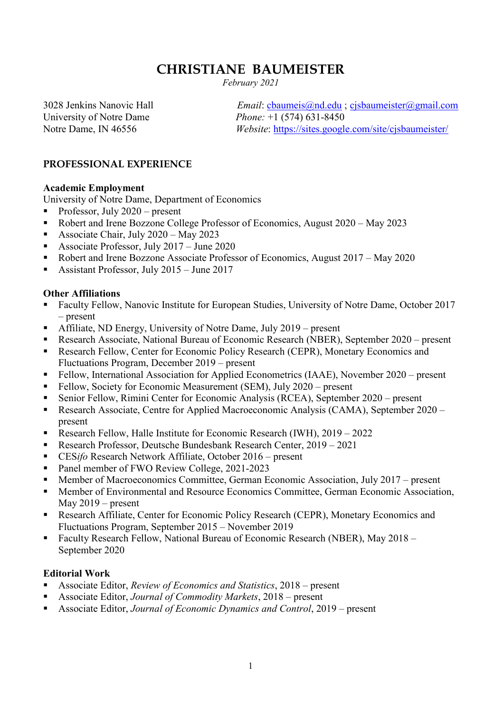# **CHRISTIANE BAUMEISTER**

*February 2021*

University of Notre Dame *Phone:* +1 (574) 631-8450

3028 Jenkins Nanovic Hall *Email*: [cbaumeis@nd.edu](mailto:cbaumeis@nd.edu) ; [cjsbaumeister@gmail.com](mailto:cjsbaumeister@gmail.com) Notre Dame, IN 46556 *Website*:<https://sites.google.com/site/cjsbaumeister/>

### **PROFESSIONAL EXPERIENCE**

#### **Academic Employment**

University of Notre Dame, Department of Economics

- Professor, July  $2020$  present
- Robert and Irene Bozzone College Professor of Economics, August 2020 May 2023
- Associate Chair, July 2020 May 2023
- Associate Professor, July  $2017 -$  June 2020
- Robert and Irene Bozzone Associate Professor of Economics, August 2017 May 2020
- Assistant Professor, July  $2015 -$  June  $2017$

#### **Other Affiliations**

- Faculty Fellow, Nanovic Institute for European Studies, University of Notre Dame, October 2017 – present
- Affiliate, ND Energy, University of Notre Dame, July 2019 present
- Research Associate, National Bureau of Economic Research (NBER), September 2020 present
- **Research Fellow, Center for Economic Policy Research (CEPR), Monetary Economics and** Fluctuations Program, December 2019 – present
- Fellow, International Association for Applied Econometrics (IAAE), November 2020 present
- Fellow, Society for Economic Measurement (SEM), July 2020 present
- Senior Fellow, Rimini Center for Economic Analysis (RCEA), September 2020 present
- Research Associate, Centre for Applied Macroeconomic Analysis (CAMA), September 2020 present
- Research Fellow, Halle Institute for Economic Research (IWH), 2019 2022
- Research Professor, Deutsche Bundesbank Research Center, 2019 2021
- CES*ifo* Research Network Affiliate, October 2016 present
- Panel member of FWO Review College, 2021-2023
- Member of Macroeconomics Committee, German Economic Association, July 2017 present
- **Member of Environmental and Resource Economics Committee, German Economic Association,** May 2019 – present
- Research Affiliate, Center for Economic Policy Research (CEPR), Monetary Economics and Fluctuations Program, September 2015 – November 2019
- **Faculty Research Fellow, National Bureau of Economic Research (NBER), May 2018** September 2020

### **Editorial Work**

- Associate Editor, *Review of Economics and Statistics*, 2018 present
- Associate Editor, *Journal of Commodity Markets*, 2018 present
- Associate Editor, *Journal of Economic Dynamics and Control*, 2019 present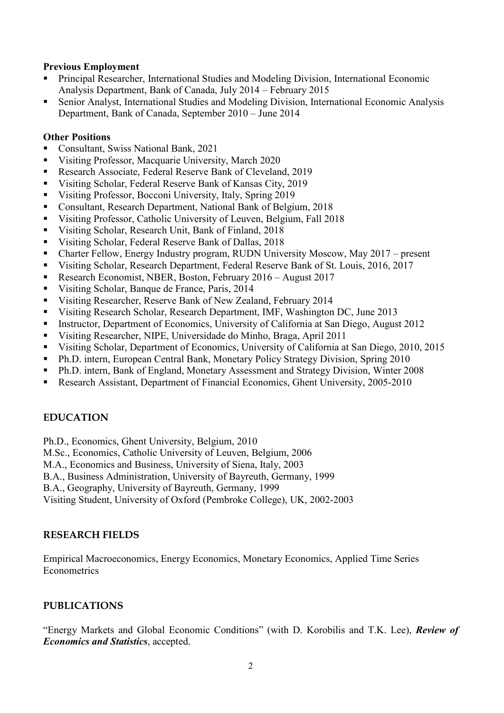#### **Previous Employment**

- Principal Researcher, International Studies and Modeling Division, International Economic Analysis Department, Bank of Canada, July 2014 – February 2015
- Senior Analyst, International Studies and Modeling Division, International Economic Analysis Department, Bank of Canada, September 2010 – June 2014

#### **Other Positions**

- Consultant, Swiss National Bank, 2021
- Visiting Professor, Macquarie University, March 2020
- Research Associate, Federal Reserve Bank of Cleveland, 2019
- Visiting Scholar, Federal Reserve Bank of Kansas City, 2019
- Visiting Professor, Bocconi University, Italy, Spring 2019
- Consultant, Research Department, National Bank of Belgium, 2018
- Visiting Professor, Catholic University of Leuven, Belgium, Fall 2018
- Visiting Scholar, Research Unit, Bank of Finland, 2018
- Visiting Scholar, Federal Reserve Bank of Dallas, 2018
- Charter Fellow, Energy Industry program, RUDN University Moscow, May 2017 present
- Visiting Scholar, Research Department, Federal Reserve Bank of St. Louis, 2016, 2017
- Research Economist, NBER, Boston, February 2016 August 2017
- Visiting Scholar, Banque de France, Paris, 2014
- Visiting Researcher, Reserve Bank of New Zealand, February 2014
- Visiting Research Scholar, Research Department, IMF, Washington DC, June 2013
- Instructor, Department of Economics, University of California at San Diego, August 2012
- Visiting Researcher, NIPE, Universidade do Minho, Braga, April 2011
- Visiting Scholar, Department of Economics, University of California at San Diego, 2010, 2015
- Ph.D. intern, European Central Bank, Monetary Policy Strategy Division, Spring 2010
- Ph.D. intern, Bank of England, Monetary Assessment and Strategy Division, Winter 2008
- Research Assistant, Department of Financial Economics, Ghent University, 2005-2010

# **EDUCATION**

Ph.D., Economics, Ghent University, Belgium, 2010

- M.Sc., Economics, Catholic University of Leuven, Belgium, 2006
- M.A., Economics and Business, University of Siena, Italy, 2003
- B.A., Business Administration, University of Bayreuth, Germany, 1999
- B.A., Geography, University of Bayreuth, Germany, 1999

Visiting Student, University of Oxford (Pembroke College), UK, 2002-2003

### **RESEARCH FIELDS**

Empirical Macroeconomics, Energy Economics, Monetary Economics, Applied Time Series Econometrics

### **PUBLICATIONS**

"Energy Markets and Global Economic Conditions" (with D. Korobilis and T.K. Lee), *Review of Economics and Statistics*, accepted.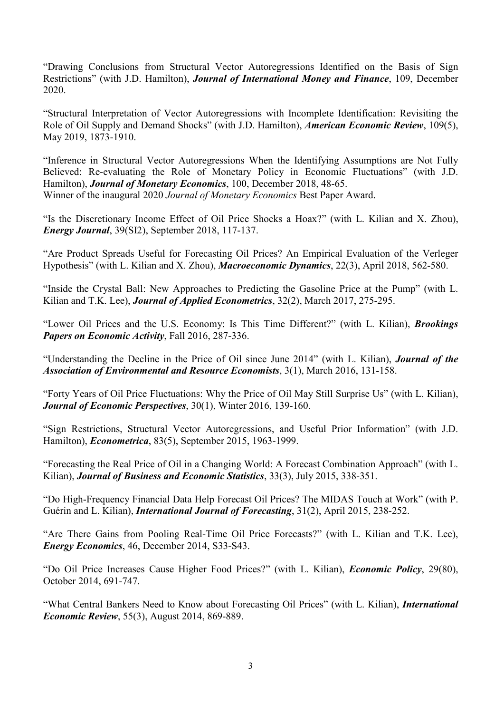"Drawing Conclusions from Structural Vector Autoregressions Identified on the Basis of Sign Restrictions" (with J.D. Hamilton), *Journal of International Money and Finance*, 109, December 2020.

"Structural Interpretation of Vector Autoregressions with Incomplete Identification: Revisiting the Role of Oil Supply and Demand Shocks" (with J.D. Hamilton), *American Economic Review*, 109(5), May 2019, 1873-1910.

"Inference in Structural Vector Autoregressions When the Identifying Assumptions are Not Fully Believed: Re-evaluating the Role of Monetary Policy in Economic Fluctuations" (with J.D. Hamilton), *Journal of Monetary Economics*, 100, December 2018, 48-65. Winner of the inaugural 2020 *Journal of Monetary Economics* Best Paper Award.

"Is the Discretionary Income Effect of Oil Price Shocks a Hoax?" (with L. Kilian and X. Zhou), *Energy Journal*, 39(SI2), September 2018, 117-137.

"Are Product Spreads Useful for Forecasting Oil Prices? An Empirical Evaluation of the Verleger Hypothesis" (with L. Kilian and X. Zhou), *Macroeconomic Dynamics*, 22(3), April 2018, 562-580.

"Inside the Crystal Ball: New Approaches to Predicting the Gasoline Price at the Pump" (with L. Kilian and T.K. Lee), *Journal of Applied Econometrics*, 32(2), March 2017, 275-295.

"Lower Oil Prices and the U.S. Economy: Is This Time Different?" (with L. Kilian), *Brookings Papers on Economic Activity*, Fall 2016, 287-336.

"Understanding the Decline in the Price of Oil since June 2014" (with L. Kilian), *Journal of the Association of Environmental and Resource Economists*, 3(1), March 2016, 131-158.

"Forty Years of Oil Price Fluctuations: Why the Price of Oil May Still Surprise Us" (with L. Kilian), *Journal of Economic Perspectives*, 30(1), Winter 2016, 139-160.

"Sign Restrictions, Structural Vector Autoregressions, and Useful Prior Information" (with J.D. Hamilton), *Econometrica*, 83(5), September 2015, 1963-1999.

"Forecasting the Real Price of Oil in a Changing World: A Forecast Combination Approach" (with L. Kilian), *Journal of Business and Economic Statistics*, 33(3), July 2015, 338-351.

"Do High-Frequency Financial Data Help Forecast Oil Prices? The MIDAS Touch at Work" (with P. Guérin and L. Kilian), *International Journal of Forecasting*, 31(2), April 2015, 238-252.

"Are There Gains from Pooling Real-Time Oil Price Forecasts?" (with L. Kilian and T.K. Lee), *Energy Economics*, 46, December 2014, S33-S43.

"Do Oil Price Increases Cause Higher Food Prices?" (with L. Kilian), *Economic Policy*, 29(80), October 2014, 691-747.

"What Central Bankers Need to Know about Forecasting Oil Prices" (with L. Kilian), *International Economic Review*, 55(3), August 2014, 869-889.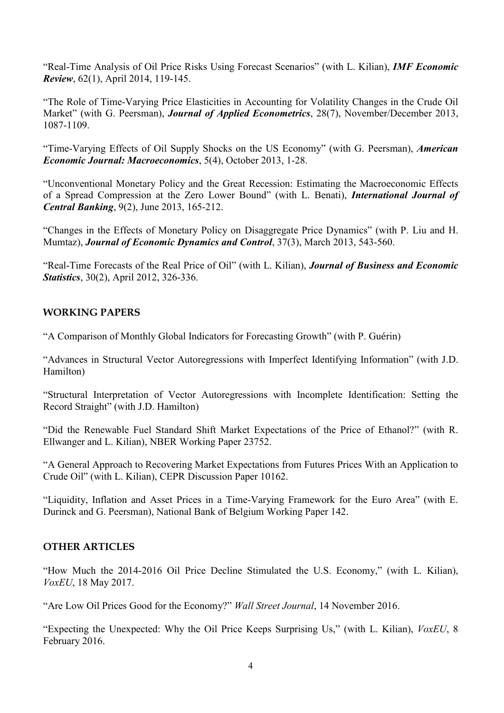"Real-Time Analysis of Oil Price Risks Using Forecast Scenarios" (with L. Kilian), *IMF Economic Review*, 62(1), April 2014, 119-145.

"The Role of Time-Varying Price Elasticities in Accounting for Volatility Changes in the Crude Oil Market" (with G. Peersman), *Journal of Applied Econometrics*, 28(7), November/December 2013, 1087-1109.

"Time-Varying Effects of Oil Supply Shocks on the US Economy" (with G. Peersman), *American Economic Journal: Macroeconomics*, 5(4), October 2013, 1-28.

"Unconventional Monetary Policy and the Great Recession: Estimating the Macroeconomic Effects of a Spread Compression at the Zero Lower Bound" (with L. Benati), *International Journal of Central Banking*, 9(2), June 2013, 165-212.

"Changes in the Effects of Monetary Policy on Disaggregate Price Dynamics" (with P. Liu and H. Mumtaz), *Journal of Economic Dynamics and Control*, 37(3), March 2013, 543-560.

"Real-Time Forecasts of the Real Price of Oil" (with L. Kilian), *Journal of Business and Economic Statistics*, 30(2), April 2012, 326-336.

### **WORKING PAPERS**

"A Comparison of Monthly Global Indicators for Forecasting Growth" (with P. Guérin)

"Advances in Structural Vector Autoregressions with Imperfect Identifying Information" (with J.D. Hamilton)

"Structural Interpretation of Vector Autoregressions with Incomplete Identification: Setting the Record Straight" (with J.D. Hamilton)

"Did the Renewable Fuel Standard Shift Market Expectations of the Price of Ethanol?" (with R. Ellwanger and L. Kilian), NBER Working Paper 23752.

"A General Approach to Recovering Market Expectations from Futures Prices With an Application to Crude Oil" (with L. Kilian), CEPR Discussion Paper 10162.

"Liquidity, Inflation and Asset Prices in a Time-Varying Framework for the Euro Area" (with E. Durinck and G. Peersman), National Bank of Belgium Working Paper 142.

### **OTHER ARTICLES**

"How Much the 2014-2016 Oil Price Decline Stimulated the U.S. Economy," (with L. Kilian), *VoxEU*, 18 May 2017.

"Are Low Oil Prices Good for the Economy?" *Wall Street Journal*, 14 November 2016.

"Expecting the Unexpected: Why the Oil Price Keeps Surprising Us," (with L. Kilian), *VoxEU*, 8 February 2016.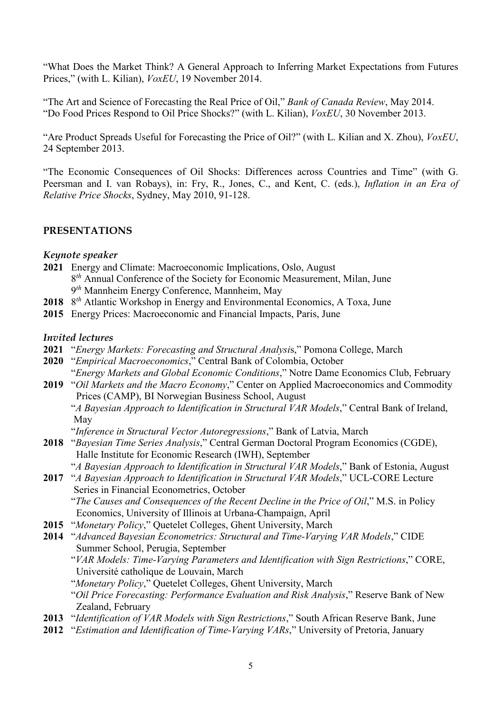"What Does the Market Think? A General Approach to Inferring Market Expectations from Futures Prices," (with L. Kilian), *VoxEU*, 19 November 2014.

"The Art and Science of Forecasting the Real Price of Oil," *Bank of Canada Review*, May 2014. "Do Food Prices Respond to Oil Price Shocks?" (with L. Kilian), *VoxEU*, 30 November 2013.

"Are Product Spreads Useful for Forecasting the Price of Oil?" (with L. Kilian and X. Zhou), *VoxEU*, 24 September 2013.

"The Economic Consequences of Oil Shocks: Differences across Countries and Time" (with G. Peersman and I. van Robays), in: Fry, R., Jones, C., and Kent, C. (eds.), *Inflation in an Era of Relative Price Shocks*, Sydney, May 2010, 91-128.

### **PRESENTATIONS**

#### *Keynote speaker*

- **2021** Energy and Climate: Macroeconomic Implications, Oslo, August 8*th* Annual Conference of the Society for Economic Measurement, Milan, June 9*th* Mannheim Energy Conference, Mannheim, May
- **2018** 8*th* Atlantic Workshop in Energy and Environmental Economics, A Toxa, June
- **2015** Energy Prices: Macroeconomic and Financial Impacts, Paris, June

#### *Invited lectures*

- **2021** "*Energy Markets: Forecasting and Structural Analysi*s," Pomona College, March
- **2020** "*Empirical Macroeconomics*," Central Bank of Colombia, October

 "*Energy Markets and Global Economic Conditions*," Notre Dame Economics Club, February **2019** "*Oil Markets and the Macro Economy*," Center on Applied Macroeconomics and Commodity

 Prices (CAMP), BI Norwegian Business School, August "*A Bayesian Approach to Identification in Structural VAR Models*," Central Bank of Ireland,

May

"*Inference in Structural Vector Autoregressions*," Bank of Latvia, March

- **2018** "*Bayesian Time Series Analysis*," Central German Doctoral Program Economics (CGDE), Halle Institute for Economic Research (IWH), September
	- "*A Bayesian Approach to Identification in Structural VAR Models*," Bank of Estonia, August
- **2017** "*A Bayesian Approach to Identification in Structural VAR Models*," UCL-CORE Lecture Series in Financial Econometrics, October

 "*The Causes and Consequences of the Recent Decline in the Price of Oil*," M.S. in Policy Economics, University of Illinois at Urbana-Champaign, April

- **2015** "*Monetary Policy*," Quetelet Colleges, Ghent University, March
- **2014** "*Advanced Bayesian Econometrics: Structural and Time-Varying VAR Models*," CIDE Summer School, Perugia, September
	- "*VAR Models: Time-Varying Parameters and Identification with Sign Restrictions*," CORE, Université catholique de Louvain, March
	- "*Monetary Policy*," Quetelet Colleges, Ghent University, March "*Oil Price Forecasting: Performance Evaluation and Risk Analysis*," Reserve Bank of New Zealand, February
- **2013** "*Identification of VAR Models with Sign Restrictions*," South African Reserve Bank, June
- **2012** "*Estimation and Identification of Time-Varying VARs*," University of Pretoria, January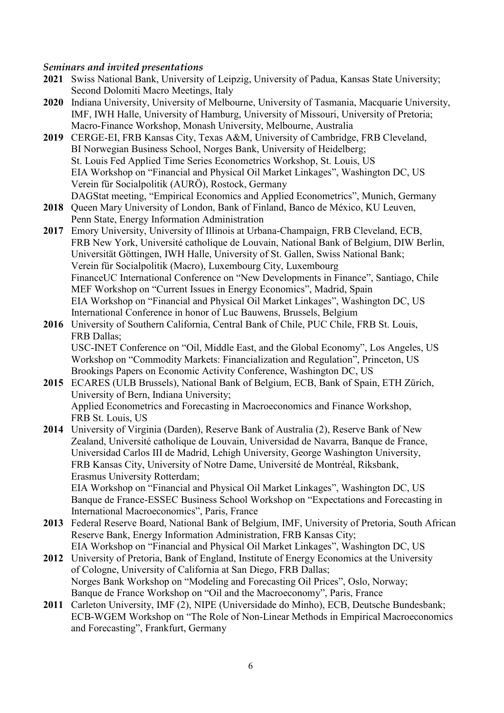#### *Seminars and invited presentations*

- **2021** Swiss National Bank, University of Leipzig, University of Padua, Kansas State University; Second Dolomiti Macro Meetings, Italy
- **2020** Indiana University, University of Melbourne, University of Tasmania, Macquarie University, IMF, IWH Halle, University of Hamburg, University of Missouri, University of Pretoria; Macro-Finance Workshop, Monash University, Melbourne, Australia
- **2019** CERGE-EI, FRB Kansas City, Texas A&M, University of Cambridge, FRB Cleveland, BI Norwegian Business School, Norges Bank, University of Heidelberg; St. Louis Fed Applied Time Series Econometrics Workshop, St. Louis, US EIA Workshop on "Financial and Physical Oil Market Linkages", Washington DC, US Verein für Socialpolitik (AURÖ), Rostock, Germany DAGStat meeting, "Empirical Economics and Applied Econometrics", Munich, Germany
- **2018** Queen Mary University of London, Bank of Finland, Banco de México, KU Leuven, Penn State, Energy Information Administration
- **2017** Emory University, University of Illinois at Urbana-Champaign, FRB Cleveland, ECB, FRB New York, Université catholique de Louvain, National Bank of Belgium, DIW Berlin, Universität Göttingen, IWH Halle, University of St. Gallen, Swiss National Bank; Verein für Socialpolitik (Macro), Luxembourg City, Luxembourg FinanceUC International Conference on "New Developments in Finance", Santiago, Chile MEF Workshop on "Current Issues in Energy Economics", Madrid, Spain EIA Workshop on "Financial and Physical Oil Market Linkages", Washington DC, US International Conference in honor of Luc Bauwens, Brussels, Belgium
- **2016** University of Southern California, Central Bank of Chile, PUC Chile, FRB St. Louis, FRB Dallas; USC-INET Conference on "Oil, Middle East, and the Global Economy", Los Angeles, US Workshop on "Commodity Markets: Financialization and Regulation", Princeton, US Brookings Papers on Economic Activity Conference, Washington DC, US
- **2015** ECARES (ULB Brussels), National Bank of Belgium, ECB, Bank of Spain, ETH Zürich, University of Bern, Indiana University; Applied Econometrics and Forecasting in Macroeconomics and Finance Workshop, FRB St. Louis, US
- **2014** University of Virginia (Darden), Reserve Bank of Australia (2), Reserve Bank of New Zealand, Université catholique de Louvain, Universidad de Navarra, Banque de France, Universidad Carlos III de Madrid, Lehigh University, George Washington University, FRB Kansas City, University of Notre Dame, Université de Montréal, Riksbank, Erasmus University Rotterdam;

 EIA Workshop on "Financial and Physical Oil Market Linkages", Washington DC, US Banque de France-ESSEC Business School Workshop on "Expectations and Forecasting in International Macroeconomics", Paris, France

- **2013** Federal Reserve Board, National Bank of Belgium, IMF, University of Pretoria, South African Reserve Bank, Energy Information Administration, FRB Kansas City; EIA Workshop on "Financial and Physical Oil Market Linkages", Washington DC, US
- **2012** University of Pretoria, Bank of England, Institute of Energy Economics at the University of Cologne, University of California at San Diego, FRB Dallas; Norges Bank Workshop on "Modeling and Forecasting Oil Prices", Oslo, Norway; Banque de France Workshop on "Oil and the Macroeconomy", Paris, France
- **2011** Carleton University, IMF (2), NIPE (Universidade do Minho), ECB, Deutsche Bundesbank; ECB-WGEM Workshop on "The Role of Non-Linear Methods in Empirical Macroeconomics and Forecasting", Frankfurt, Germany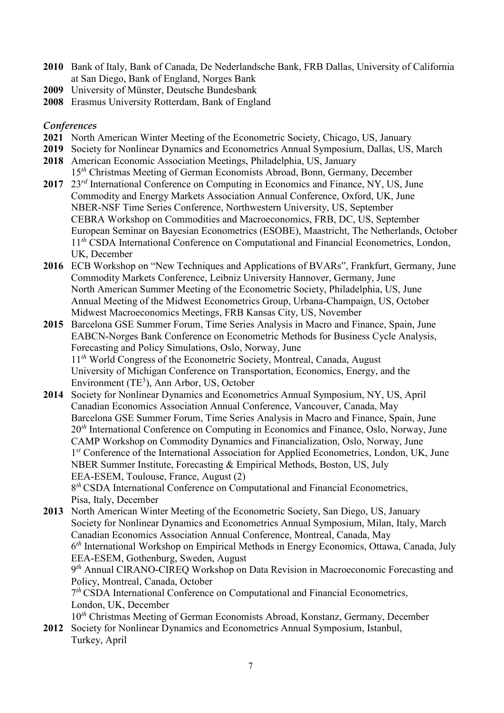- **2010** Bank of Italy, Bank of Canada, De Nederlandsche Bank, FRB Dallas, University of California at San Diego, Bank of England, Norges Bank
- **2009** University of Münster, Deutsche Bundesbank
- **2008** Erasmus University Rotterdam, Bank of England

#### *Conferences*

- **2021** North American Winter Meeting of the Econometric Society, Chicago, US, January
- **2019** Society for Nonlinear Dynamics and Econometrics Annual Symposium, Dallas, US, March
- **2018** American Economic Association Meetings, Philadelphia, US, January
- 15*th* Christmas Meeting of German Economists Abroad, Bonn, Germany, December **2017** 23*rd* International Conference on Computing in Economics and Finance, NY, US, June
- Commodity and Energy Markets Association Annual Conference, Oxford, UK, June NBER-NSF Time Series Conference, Northwestern University, US, September CEBRA Workshop on Commodities and Macroeconomics, FRB, DC, US, September European Seminar on Bayesian Econometrics (ESOBE), Maastricht, The Netherlands, October 11<sup>th</sup> CSDA International Conference on Computational and Financial Econometrics, London, UK, December
- **2016** ECB Workshop on "New Techniques and Applications of BVARs", Frankfurt, Germany, June Commodity Markets Conference, Leibniz University Hannover, Germany, June North American Summer Meeting of the Econometric Society, Philadelphia, US, June Annual Meeting of the Midwest Econometrics Group, Urbana-Champaign, US, October Midwest Macroeconomics Meetings, FRB Kansas City, US, November
- **2015** Barcelona GSE Summer Forum, Time Series Analysis in Macro and Finance, Spain, June EABCN-Norges Bank Conference on Econometric Methods for Business Cycle Analysis, Forecasting and Policy Simulations, Oslo, Norway, June 11*th* World Congress of the Econometric Society, Montreal, Canada, August University of Michigan Conference on Transportation, Economics, Energy, and the Environment  $(TE^3)$ , Ann Arbor, US, October
- **2014** Society for Nonlinear Dynamics and Econometrics Annual Symposium, NY, US, April Canadian Economics Association Annual Conference, Vancouver, Canada, May Barcelona GSE Summer Forum, Time Series Analysis in Macro and Finance, Spain, June 20<sup>th</sup> International Conference on Computing in Economics and Finance, Oslo, Norway, June CAMP Workshop on Commodity Dynamics and Financialization, Oslo, Norway, June 1*st* Conference of the International Association for Applied Econometrics, London, UK, June NBER Summer Institute, Forecasting & Empirical Methods, Boston, US, July EEA-ESEM, Toulouse, France, August (2) 8<sup>th</sup> CSDA International Conference on Computational and Financial Econometrics, Pisa, Italy, December
- **2013** North American Winter Meeting of the Econometric Society, San Diego, US, January Society for Nonlinear Dynamics and Econometrics Annual Symposium, Milan, Italy, March Canadian Economics Association Annual Conference, Montreal, Canada, May 6*th* International Workshop on Empirical Methods in Energy Economics, Ottawa, Canada, July EEA-ESEM, Gothenburg, Sweden, August 9*th* Annual CIRANO-CIREQ Workshop on Data Revision in Macroeconomic Forecasting and Policy, Montreal, Canada, October 7*th* CSDA International Conference on Computational and Financial Econometrics, London, UK, December 10*th* Christmas Meeting of German Economists Abroad, Konstanz, Germany, December
- **2012** Society for Nonlinear Dynamics and Econometrics Annual Symposium, Istanbul, Turkey, April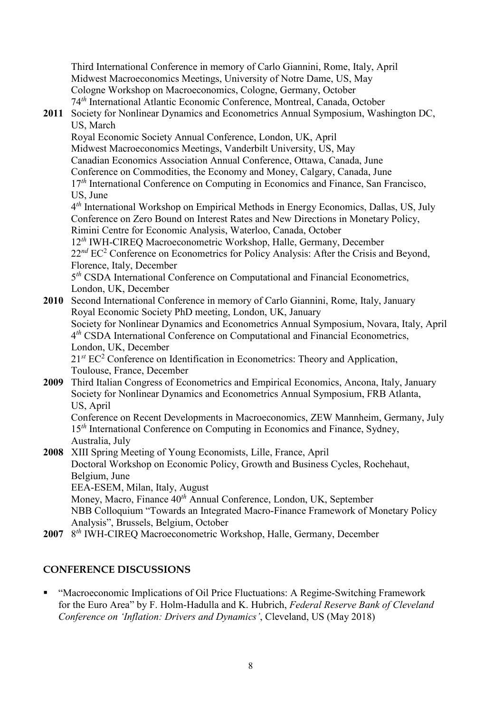Third International Conference in memory of Carlo Giannini, Rome, Italy, April Midwest Macroeconomics Meetings, University of Notre Dame, US, May Cologne Workshop on Macroeconomics, Cologne, Germany, October 74*th* International Atlantic Economic Conference, Montreal, Canada, October

### **2011** Society for Nonlinear Dynamics and Econometrics Annual Symposium, Washington DC, US, March

 Royal Economic Society Annual Conference, London, UK, April Midwest Macroeconomics Meetings, Vanderbilt University, US, May Canadian Economics Association Annual Conference, Ottawa, Canada, June Conference on Commodities, the Economy and Money, Calgary, Canada, June 17<sup>th</sup> International Conference on Computing in Economics and Finance, San Francisco, US, June

 4*th* International Workshop on Empirical Methods in Energy Economics, Dallas, US, July Conference on Zero Bound on Interest Rates and New Directions in Monetary Policy, Rimini Centre for Economic Analysis, Waterloo, Canada, October

 12*th* IWH-CIREQ Macroeconometric Workshop, Halle, Germany, December 22<sup>nd</sup> EC<sup>2</sup> Conference on Econometrics for Policy Analysis: After the Crisis and Beyond, Florence, Italy, December

 5*th* CSDA International Conference on Computational and Financial Econometrics, London, UK, December

**2010** Second International Conference in memory of Carlo Giannini, Rome, Italy, January Royal Economic Society PhD meeting, London, UK, January Society for Nonlinear Dynamics and Econometrics Annual Symposium, Novara, Italy, April 4*th* CSDA International Conference on Computational and Financial Econometrics, London, UK, December 21<sup>st</sup> EC<sup>2</sup> Conference on Identification in Econometrics: Theory and Application, Toulouse, France, December

**2009** Third Italian Congress of Econometrics and Empirical Economics, Ancona, Italy, January Society for Nonlinear Dynamics and Econometrics Annual Symposium, FRB Atlanta, US, April

 Conference on Recent Developments in Macroeconomics, ZEW Mannheim, Germany, July 15<sup>th</sup> International Conference on Computing in Economics and Finance, Sydney, Australia, July

**2008** XIII Spring Meeting of Young Economists, Lille, France, April Doctoral Workshop on Economic Policy, Growth and Business Cycles, Rochehaut, Belgium, June EEA-ESEM, Milan, Italy, August Money, Macro, Finance 40*th* Annual Conference, London, UK, September NBB Colloquium "Towards an Integrated Macro-Finance Framework of Monetary Policy Analysis", Brussels, Belgium, October

**2007** 8*th* IWH-CIREQ Macroeconometric Workshop, Halle, Germany, December

# **CONFERENCE DISCUSSIONS**

 "Macroeconomic Implications of Oil Price Fluctuations: A Regime-Switching Framework for the Euro Area" by F. Holm-Hadulla and K. Hubrich, *Federal Reserve Bank of Cleveland Conference on 'Inflation: Drivers and Dynamics'*, Cleveland, US (May 2018)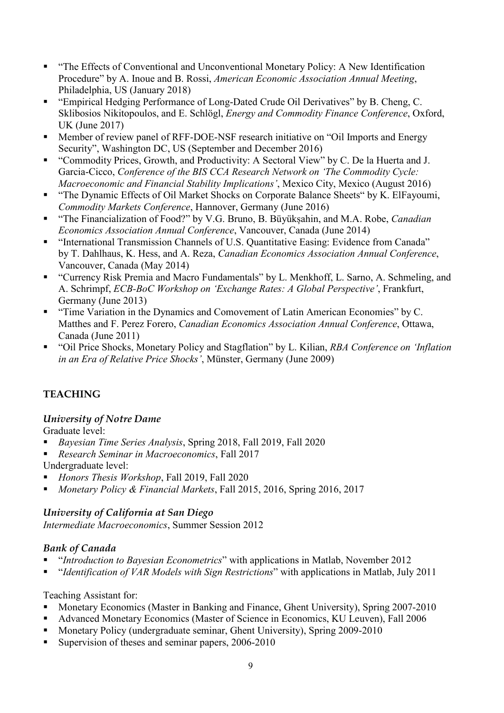- "The Effects of Conventional and Unconventional Monetary Policy: A New Identification Procedure" by A. Inoue and B. Rossi, *American Economic Association Annual Meeting*, Philadelphia, US (January 2018)
- "Empirical Hedging Performance of Long-Dated Crude Oil Derivatives" by B. Cheng, C. Sklibosios Nikitopoulos, and E. Schlögl, *Energy and Commodity Finance Conference*, Oxford, UK (June 2017)
- Member of review panel of RFF-DOE-NSF research initiative on "Oil Imports and Energy Security", Washington DC, US (September and December 2016)
- "Commodity Prices, Growth, and Productivity: A Sectoral View" by C. De la Huerta and J. Garcia-Cicco, *Conference of the BIS CCA Research Network on 'The Commodity Cycle: Macroeconomic and Financial Stability Implications'*, Mexico City, Mexico (August 2016)
- "The Dynamic Effects of Oil Market Shocks on Corporate Balance Sheets" by K. ElFayoumi, *Commodity Markets Conference*, Hannover, Germany (June 2016)
- "The Financialization of Food?" by V.G. Bruno, B. Büyükșahin, and M.A. Robe, *Canadian Economics Association Annual Conference*, Vancouver, Canada (June 2014)
- "International Transmission Channels of U.S. Quantitative Easing: Evidence from Canada" by T. Dahlhaus, K. Hess, and A. Reza, *Canadian Economics Association Annual Conference*, Vancouver, Canada (May 2014)
- "Currency Risk Premia and Macro Fundamentals" by L. Menkhoff, L. Sarno, A. Schmeling, and A. Schrimpf, *ECB-BoC Workshop on 'Exchange Rates: A Global Perspective'*, Frankfurt, Germany (June 2013)
- "Time Variation in the Dynamics and Comovement of Latin American Economies" by C. Matthes and F. Perez Forero, *Canadian Economics Association Annual Conference*, Ottawa, Canada (June 2011)
- "Oil Price Shocks, Monetary Policy and Stagflation" by L. Kilian, *RBA Conference on 'Inflation in an Era of Relative Price Shocks'*, Münster, Germany (June 2009)

# **TEACHING**

# *University of Notre Dame*

Graduate level:

- *Bayesian Time Series Analysis*, Spring 2018, Fall 2019, Fall 2020
- *Research Seminar in Macroeconomics*, Fall 2017

Undergraduate level:

- *Honors Thesis Workshop*, Fall 2019, Fall 2020
- *Monetary Policy & Financial Markets*, Fall 2015, 2016, Spring 2016, 2017

# *University of California at San Diego*

*Intermediate Macroeconomics*, Summer Session 2012

# *Bank of Canada*

- "*Introduction to Bayesian Econometrics*" with applications in Matlab, November 2012
- "*Identification of VAR Models with Sign Restrictions*" with applications in Matlab, July 2011

### Teaching Assistant for:

- Monetary Economics (Master in Banking and Finance, Ghent University), Spring 2007-2010
- Advanced Monetary Economics (Master of Science in Economics, KU Leuven), Fall 2006
- Monetary Policy (undergraduate seminar, Ghent University), Spring 2009-2010
- Supervision of theses and seminar papers, 2006-2010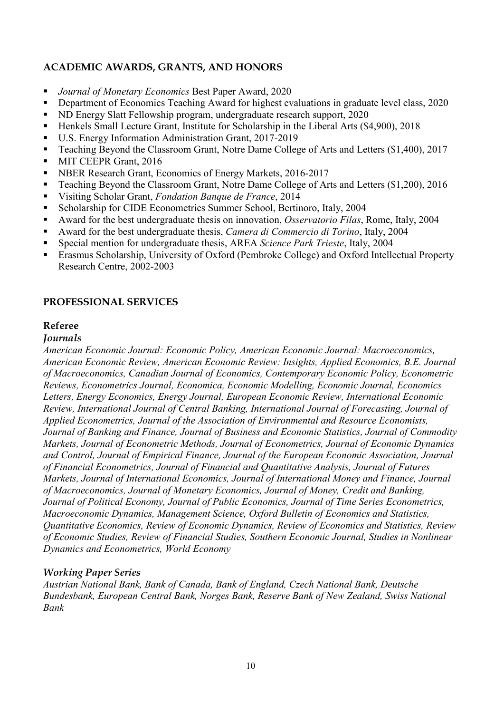# **ACADEMIC AWARDS, GRANTS, AND HONORS**

- *Journal of Monetary Economics* Best Paper Award, 2020
- Department of Economics Teaching Award for highest evaluations in graduate level class, 2020
- ND Energy Slatt Fellowship program, undergraduate research support, 2020
- Henkels Small Lecture Grant, Institute for Scholarship in the Liberal Arts (\$4,900), 2018
- U.S. Energy Information Administration Grant, 2017-2019
- Teaching Beyond the Classroom Grant, Notre Dame College of Arts and Letters (\$1,400), 2017
- **MIT CEEPR Grant, 2016**
- **NBER Research Grant, Economics of Energy Markets, 2016-2017**
- Teaching Beyond the Classroom Grant, Notre Dame College of Arts and Letters (\$1,200), 2016
- Visiting Scholar Grant, *Fondation Banque de France*, 2014
- Scholarship for CIDE Econometrics Summer School, Bertinoro, Italy, 2004
- Award for the best undergraduate thesis on innovation, *Osservatorio Filas*, Rome, Italy, 2004
- Award for the best undergraduate thesis, *Camera di Commercio di Torino*, Italy, 2004
- Special mention for undergraduate thesis, AREA *Science Park Trieste*, Italy, 2004
- Erasmus Scholarship, University of Oxford (Pembroke College) and Oxford Intellectual Property Research Centre, 2002-2003

# **PROFESSIONAL SERVICES**

# **Referee**

### *Journals*

*American Economic Journal: Economic Policy, American Economic Journal: Macroeconomics, American Economic Review, American Economic Review: Insights, Applied Economics, B.E. Journal of Macroeconomics, Canadian Journal of Economics, Contemporary Economic Policy, Econometric Reviews, Econometrics Journal, Economica, Economic Modelling, Economic Journal, Economics Letters, Energy Economics, Energy Journal, European Economic Review, International Economic Review, International Journal of Central Banking, International Journal of Forecasting, Journal of Applied Econometrics, Journal of the Association of Environmental and Resource Economists, Journal of Banking and Finance, Journal of Business and Economic Statistics, Journal of Commodity Markets, Journal of Econometric Methods, Journal of Econometrics, Journal of Economic Dynamics and Control, Journal of Empirical Finance, Journal of the European Economic Association, Journal of Financial Econometrics, Journal of Financial and Quantitative Analysis, Journal of Futures Markets, Journal of International Economics, Journal of International Money and Finance, Journal of Macroeconomics, Journal of Monetary Economics, Journal of Money, Credit and Banking, Journal of Political Economy, Journal of Public Economics, Journal of Time Series Econometrics, Macroeconomic Dynamics, Management Science, Oxford Bulletin of Economics and Statistics, Quantitative Economics, Review of Economic Dynamics, Review of Economics and Statistics, Review of Economic Studies, Review of Financial Studies, Southern Economic Journal, Studies in Nonlinear Dynamics and Econometrics, World Economy*

# *Working Paper Series*

*Austrian National Bank, Bank of Canada, Bank of England, Czech National Bank, Deutsche Bundesbank, European Central Bank, Norges Bank, Reserve Bank of New Zealand, Swiss National Bank*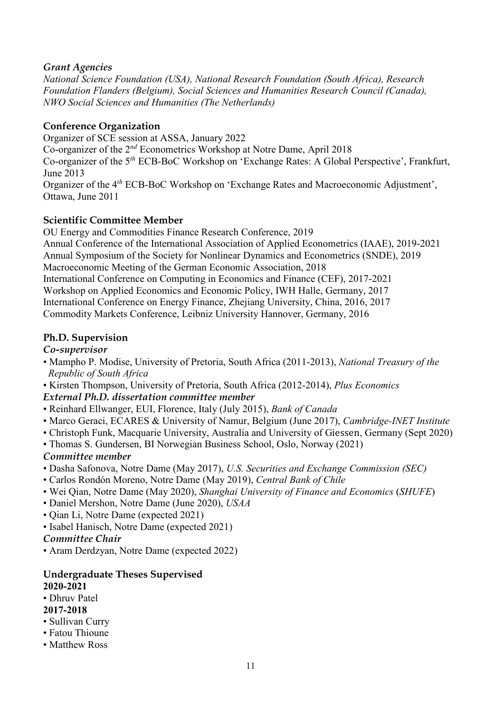# *Grant Agencies*

*National Science Foundation (USA), National Research Foundation (South Africa), Research Foundation Flanders (Belgium), Social Sciences and Humanities Research Council (Canada), NWO Social Sciences and Humanities (The Netherlands)*

### **Conference Organization**

Organizer of SCE session at ASSA, January 2022

Co-organizer of the 2*nd* Econometrics Workshop at Notre Dame, April 2018

Co-organizer of the 5*th* ECB-BoC Workshop on 'Exchange Rates: A Global Perspective', Frankfurt, June 2013

Organizer of the 4*th* ECB-BoC Workshop on 'Exchange Rates and Macroeconomic Adjustment', Ottawa, June 2011

# **Scientific Committee Member**

OU Energy and Commodities Finance Research Conference, 2019 Annual Conference of the International Association of Applied Econometrics (IAAE), 2019-2021 Annual Symposium of the Society for Nonlinear Dynamics and Econometrics (SNDE), 2019 Macroeconomic Meeting of the German Economic Association, 2018 International Conference on Computing in Economics and Finance (CEF), 2017-2021 Workshop on Applied Economics and Economic Policy, IWH Halle, Germany, 2017 International Conference on Energy Finance, Zhejiang University, China, 2016, 2017 Commodity Markets Conference, Leibniz University Hannover, Germany, 2016

### **Ph.D. Supervision**

### *Co-supervisor*

- Mampho P. Modise, University of Pretoria, South Africa (2011-2013), *National Treasury of the Republic of South Africa*
- Kirsten Thompson, University of Pretoria, South Africa (2012-2014), *Plus Economics*

# *External Ph.D. dissertation committee member*

- Reinhard Ellwanger, EUI, Florence, Italy (July 2015), *Bank of Canada*
- Marco Geraci, ECARES & University of Namur, Belgium (June 2017), *Cambridge-INET Institute*
- Christoph Funk, Macquarie University, Australia and University of Giessen, Germany (Sept 2020)
- Thomas S. Gundersen, BI Norwegian Business School, Oslo, Norway (2021)

# *Committee member*

- Dasha Safonova, Notre Dame (May 2017), *U.S. Securities and Exchange Commission (SEC)*
- Carlos Rondón Moreno, Notre Dame (May 2019), *Central Bank of Chile*
- Wei Qian, Notre Dame (May 2020), *Shanghai University of Finance and Economics* (*SHUFE*)
- Daniel Mershon, Notre Dame (June 2020), *USAA*
- Qian Li, Notre Dame (expected 2021)
- Isabel Hanisch, Notre Dame (expected 2021)

### *Committee Chair*

• Aram Derdzyan, Notre Dame (expected 2022)

### **Undergraduate Theses Supervised 2020-2021**

• Dhruv Patel

# **2017-2018**

- Sullivan Curry
- Fatou Thioune
- Matthew Ross